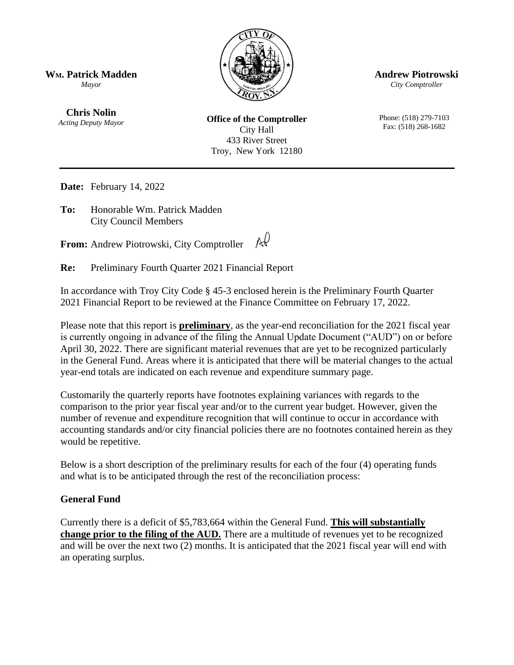

**Andrew Piotrowski**

*City Comptroller*

Phone: (518) 279-7103 Fax: (518) 268-1682

**WM. Patrick Madden**

*Mayor*

**Chris Nolin** *Acting Deputy Mayor*

**Office of the Comptroller** City Hall 433 River Street Troy, New York 12180

**Date:** February 14, 2022

**To:** Honorable Wm. Patrick Madden City Council Members

**From:** Andrew Piotrowski, City Comptroller  $\mathbb{R}^{\downarrow}$ 

**Re:** Preliminary Fourth Quarter 2021 Financial Report

In accordance with Troy City Code § 45-3 enclosed herein is the Preliminary Fourth Quarter 2021 Financial Report to be reviewed at the Finance Committee on February 17, 2022.

Please note that this report is **preliminary**, as the year-end reconciliation for the 2021 fiscal year is currently ongoing in advance of the filing the Annual Update Document ("AUD") on or before April 30, 2022. There are significant material revenues that are yet to be recognized particularly in the General Fund. Areas where it is anticipated that there will be material changes to the actual year-end totals are indicated on each revenue and expenditure summary page.

Customarily the quarterly reports have footnotes explaining variances with regards to the comparison to the prior year fiscal year and/or to the current year budget. However, given the number of revenue and expenditure recognition that will continue to occur in accordance with accounting standards and/or city financial policies there are no footnotes contained herein as they would be repetitive.

Below is a short description of the preliminary results for each of the four (4) operating funds and what is to be anticipated through the rest of the reconciliation process:

# **General Fund**

Currently there is a deficit of \$5,783,664 within the General Fund. **This will substantially change prior to the filing of the AUD.** There are a multitude of revenues yet to be recognized and will be over the next two (2) months. It is anticipated that the 2021 fiscal year will end with an operating surplus.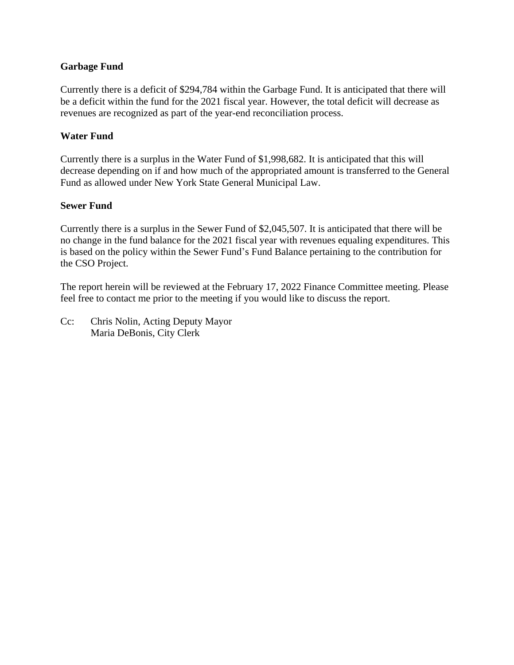#### **Garbage Fund**

Currently there is a deficit of \$294,784 within the Garbage Fund. It is anticipated that there will be a deficit within the fund for the 2021 fiscal year. However, the total deficit will decrease as revenues are recognized as part of the year-end reconciliation process.

#### **Water Fund**

Currently there is a surplus in the Water Fund of \$1,998,682. It is anticipated that this will decrease depending on if and how much of the appropriated amount is transferred to the General Fund as allowed under New York State General Municipal Law.

#### **Sewer Fund**

Currently there is a surplus in the Sewer Fund of \$2,045,507. It is anticipated that there will be no change in the fund balance for the 2021 fiscal year with revenues equaling expenditures. This is based on the policy within the Sewer Fund's Fund Balance pertaining to the contribution for the CSO Project.

The report herein will be reviewed at the February 17, 2022 Finance Committee meeting. Please feel free to contact me prior to the meeting if you would like to discuss the report.

Cc: Chris Nolin, Acting Deputy Mayor Maria DeBonis, City Clerk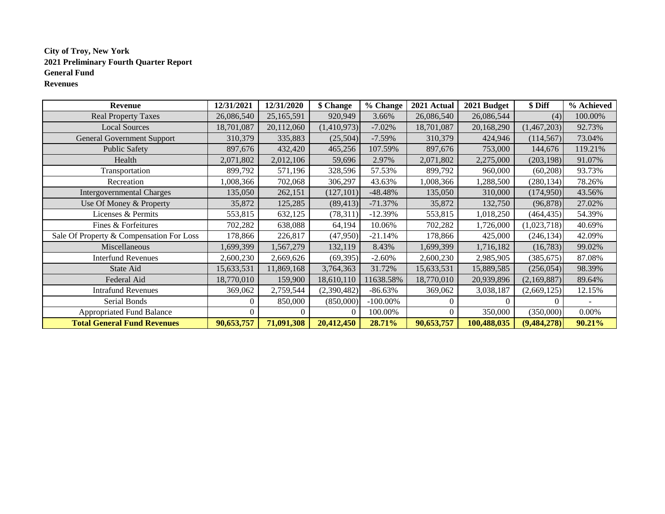## **City of Troy, New York General Fund Revenues 2021 Preliminary Fourth Quarter Report**

| <b>Revenue</b>                           | 12/31/2021     | 12/31/2020 | \$ Change   | % Change    | 2021 Actual | 2021 Budget | \$ Diff       | % Achieved |
|------------------------------------------|----------------|------------|-------------|-------------|-------------|-------------|---------------|------------|
| <b>Real Property Taxes</b>               | 26,086,540     | 25,165,591 | 920,949     | 3.66%       | 26,086,540  | 26,086,544  | (4)           | 100.00%    |
| <b>Local Sources</b>                     | 18,701,087     | 20,112,060 | (1,410,973) | $-7.02%$    | 18,701,087  | 20,168,290  | (1,467,203)   | 92.73%     |
| <b>General Government Support</b>        | 310,379        | 335,883    | (25,504)    | $-7.59%$    | 310,379     | 424,946     | (114, 567)    | 73.04%     |
| <b>Public Safety</b>                     | 897,676        | 432,420    | 465,256     | 107.59%     | 897,676     | 753,000     | 144,676       | 119.21%    |
| Health                                   | 2,071,802      | 2,012,106  | 59,696      | 2.97%       | 2,071,802   | 2,275,000   | (203, 198)    | 91.07%     |
| Transportation                           | 899,792        | 571,196    | 328,596     | 57.53%      | 899,792     | 960,000     | (60,208)      | 93.73%     |
| Recreation                               | ,008,366       | 702,068    | 306,297     | 43.63%      | 1,008,366   | 1,288,500   | (280, 134)    | 78.26%     |
| <b>Intergovernmental Charges</b>         | 135,050        | 262,151    | (127, 101)  | $-48.48%$   | 135,050     | 310,000     | (174,950)     | 43.56%     |
| Use Of Money & Property                  | 35,872         | 125,285    | (89, 413)   | $-71.37%$   | 35,872      | 132,750     | (96, 878)     | 27.02%     |
| Licenses & Permits                       | 553,815        | 632,125    | (78, 311)   | $-12.39%$   | 553,815     | 1,018,250   | (464, 435)    | 54.39%     |
| Fines & Forfeitures                      | 702,282        | 638,088    | 64,194      | 10.06%      | 702,282     | 1,726,000   | (1,023,718)   | 40.69%     |
| Sale Of Property & Compensation For Loss | 178,866        | 226,817    | (47,950)    | $-21.14%$   | 178,866     | 425,000     | (246, 134)    | 42.09%     |
| Miscellaneous                            | 1,699,399      | 1,567,279  | 132,119     | 8.43%       | 1,699,399   | 1,716,182   | (16,783)      | 99.02%     |
| <b>Interfund Revenues</b>                | 2,600,230      | 2,669,626  | (69, 395)   | $-2.60%$    | 2,600,230   | 2,985,905   | (385, 675)    | 87.08%     |
| <b>State Aid</b>                         | 15,633,531     | 11,869,168 | 3,764,363   | 31.72%      | 15,633,531  | 15,889,585  | (256, 054)    | 98.39%     |
| Federal Aid                              | 18,770,010     | 159,900    | 18,610,110  | 11638.58%   | 18,770,010  | 20,939,896  | (2,169,887)   | 89.64%     |
| <b>Intrafund Revenues</b>                | 369,062        | 2,759,544  | (2,390,482) | $-86.63%$   | 369,062     | 3,038,187   | (2,669,125)   | 12.15%     |
| Serial Bonds                             | $\overline{0}$ | 850,000    | (850,000)   | $-100.00\%$ |             |             |               |            |
| <b>Appropriated Fund Balance</b>         | $\Omega$       |            | 0           | 100.00%     |             | 350,000     | (350,000)     | $0.00\%$   |
| <b>Total General Fund Revenues</b>       | 90,653,757     | 71,091,308 | 20,412,450  | 28.71%      | 90,653,757  | 100,488,035 | (9, 484, 278) | 90.21%     |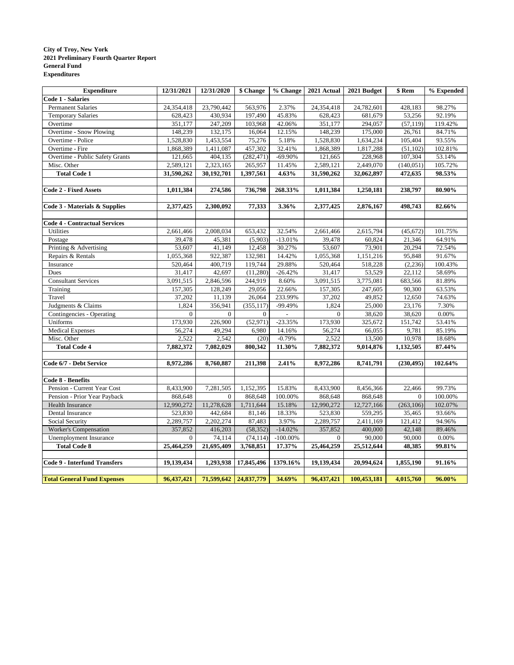# **City of Troy, New York General Fund Expenditures 2021 Preliminary Fourth Quarter Report**

| <b>Expenditure</b>                   | 12/31/2021     | 12/31/2020     | \$ Change      | % Change    | 2021 Actual    | 2021 Budget | \$ Rem         | % Expended |
|--------------------------------------|----------------|----------------|----------------|-------------|----------------|-------------|----------------|------------|
| <b>Code 1 - Salaries</b>             |                |                |                |             |                |             |                |            |
| <b>Permanent Salaries</b>            | 24,354,418     | 23,790,442     | 563,976        | 2.37%       | 24,354,418     | 24,782,601  | 428,183        | 98.27%     |
| <b>Temporary Salaries</b>            | 628,423        | 430,934        | 197,490        | 45.83%      | 628,423        | 681,679     | 53,256         | 92.19%     |
| Overtime                             | 351,177        | 247,209        | 103,968        | 42.06%      | 351,177        | 294,057     | (57, 119)      | 119.42%    |
| Overtime - Snow Plowing              | 148,239        | 132,175        | 16,064         | 12.15%      | 148,239        | 175,000     | 26,761         | 84.71%     |
| Overtime - Police                    | 1,528,830      | 1,453,554      | 75,276         | 5.18%       | 1,528,830      | 1,634,234   | 105,404        | 93.55%     |
| Overtime - Fire                      | 1,868,389      | 1,411,087      | 457,302        | 32.41%      | 1,868,389      | 1,817,288   | (51, 102)      | 102.81%    |
| Overtime - Public Safety Grants      | 121,665        | 404,135        | (282, 471)     | $-69.90%$   | 121,665        | 228,968     | 107,304        | 53.14%     |
| Misc. Other                          | 2,589,121      | 2,323,165      | 265,957        | 11.45%      | 2,589,121      | 2,449,070   | (140, 051)     | 105.72%    |
| <b>Total Code 1</b>                  | 31,590,262     | 30,192,701     | 1,397,561      | 4.63%       | 31,590,262     | 32,062,897  | 472,635        | 98.53%     |
|                                      |                |                |                |             |                |             |                |            |
| <b>Code 2 - Fixed Assets</b>         | 1,011,384      | 274,586        | 736,798        | 268.33%     | 1,011,384      | 1,250,181   | 238,797        | 80.90%     |
|                                      |                |                |                |             |                |             |                |            |
| Code 3 - Materials & Supplies        | 2,377,425      | 2,300,092      | 77,333         | 3.36%       | 2,377,425      | 2,876,167   | 498,743        | 82.66%     |
|                                      |                |                |                |             |                |             |                |            |
| <b>Code 4 - Contractual Services</b> |                |                |                |             |                |             |                |            |
| <b>Utilities</b>                     | 2,661,466      | 2,008,034      | 653,432        | 32.54%      | 2,661,466      | 2,615,794   | (45, 672)      | 101.75%    |
| Postage                              | 39,478         | 45,381         | (5,903)        | $-13.01%$   | 39,478         | 60,824      | 21,346         | 64.91%     |
| Printing & Advertising               | 53,607         | 41,149         | 12,458         | 30.27%      | 53,607         | 73,901      | 20,294         | 72.54%     |
| Repairs & Rentals                    | 1,055,368      | 922,387        | 132,981        | 14.42%      | 1,055,368      | 1,151,216   | 95,848         | 91.67%     |
| Insurance                            | 520,464        | 400,719        | 119,744        | 29.88%      | 520,464        | 518,228     | (2,236)        | 100.43%    |
| Dues                                 | 31,417         | 42,697         | (11,280)       | $-26.42%$   | 31,417         | 53,529      | 22,112         | 58.69%     |
| <b>Consultant Services</b>           | 3,091,515      | 2,846,596      | 244,919        | 8.60%       | 3,091,515      | 3,775,081   | 683,566        | 81.89%     |
| Training                             | 157,305        | 128,249        | 29,056         | 22.66%      | 157,305        | 247,605     | 90,300         | 63.53%     |
| Travel                               | 37,202         | 11,139         | 26,064         | 233.99%     | 37,202         | 49,852      | 12,650         | 74.63%     |
| Judgments & Claims                   | 1,824          | 356,941        | (355, 117)     | -99.49%     | 1,824          | 25,000      | 23,176         | 7.30%      |
| Contingencies - Operating            | $\overline{0}$ | $\overline{0}$ | $\overline{0}$ |             | $\overline{0}$ | 38,620      | 38,620         | $0.00\%$   |
| Uniforms                             | 173,930        | 226,900        | (52, 971)      | $-23.35%$   | 173,930        | 325,672     | 151,742        | 53.41%     |
| <b>Medical Expenses</b>              | 56,274         | 49,294         | 6,980          | 14.16%      | 56,274         | 66,055      | 9,781          | 85.19%     |
| Misc. Other                          | 2,522          | 2,542          | (20)           | $-0.79%$    | 2,522          | 13,500      | 10,978         | 18.68%     |
| <b>Total Code 4</b>                  | 7,882,372      | 7,082,029      | 800,342        | 11.30%      | 7,882,372      | 9,014,876   | 1,132,505      | 87.44%     |
|                                      |                |                |                |             |                |             |                |            |
| Code 6/7 - Debt Service              | 8,972,286      | 8,760,887      | 211,398        | 2.41%       | 8,972,286      | 8,741,791   | (230, 495)     | 102.64%    |
|                                      |                |                |                |             |                |             |                |            |
| <b>Code 8 - Benefits</b>             |                |                |                |             |                |             |                |            |
| Pension - Current Year Cost          | 8,433,900      | 7,281,505      | 1,152,395      | 15.83%      | 8,433,900      | 8,456,366   | 22,466         | 99.73%     |
| Pension - Prior Year Payback         | 868,648        | $\Omega$       | 868,648        | 100.00%     | 868,648        | 868,648     | $\overline{0}$ | 100.00%    |
| <b>Health Insurance</b>              | 12,990,272     | 11,278,628     | 1,711,644      | 15.18%      | 12,990,272     | 12,727,166  | (263, 106)     | 102.07%    |
| Dental Insurance                     | 523,830        | 442,684        | 81,146         | 18.33%      | 523,830        | 559,295     | 35,465         | 93.66%     |
| Social Security                      | 2,289,757      | 2,202,274      | 87,483         | 3.97%       | 2,289,757      | 2,411,169   | 121,412        | 94.96%     |
| <b>Worker's Compensation</b>         | 357,852        | 416,203        | (58, 352)      | $-14.02%$   | 357,852        | 400,000     | 42,148         | 89.46%     |
| <b>Unemployment Insurance</b>        | $\overline{0}$ | 74,114         | (74, 114)      | $-100.00\%$ | 0              | 90,000      | 90,000         | $0.00\%$   |
| <b>Total Code 8</b>                  | 25,464,259     | 21,695,409     | 3,768,851      | 17.37%      | 25,464,259     | 25,512,644  | 48,385         | 99.81%     |
|                                      |                |                |                |             |                |             |                |            |
| <b>Code 9 - Interfund Transfers</b>  | 19,139,434     | 1,293,938      | 17,845,496     | 1379.16%    | 19,139,434     | 20,994,624  | 1,855,190      | 91.16%     |
|                                      |                |                |                |             |                |             |                |            |
| <b>Total General Fund Expenses</b>   | 96,437,421     | 71,599,642     | 24,837,779     | 34.69%      | 96,437,421     | 100,453,181 | 4,015,760      | 96.00%     |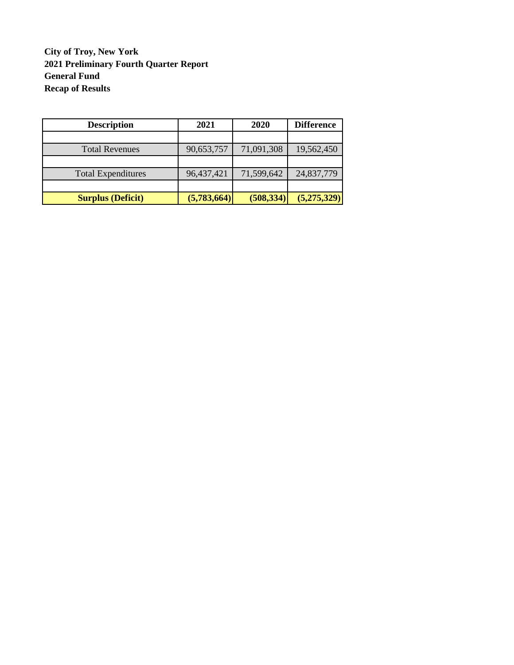## **City of Troy, New York General Fund Recap of Results 2021 Preliminary Fourth Quarter Report**

| <b>Description</b>        | 2021        | 2020       | <b>Difference</b> |  |
|---------------------------|-------------|------------|-------------------|--|
|                           |             |            |                   |  |
| <b>Total Revenues</b>     | 90,653,757  | 71,091,308 | 19,562,450        |  |
|                           |             |            |                   |  |
| <b>Total Expenditures</b> | 96,437,421  | 71,599,642 | 24,837,779        |  |
|                           |             |            |                   |  |
| <b>Surplus (Deficit)</b>  | (5,783,664) | (508, 334) | (5,275,329)       |  |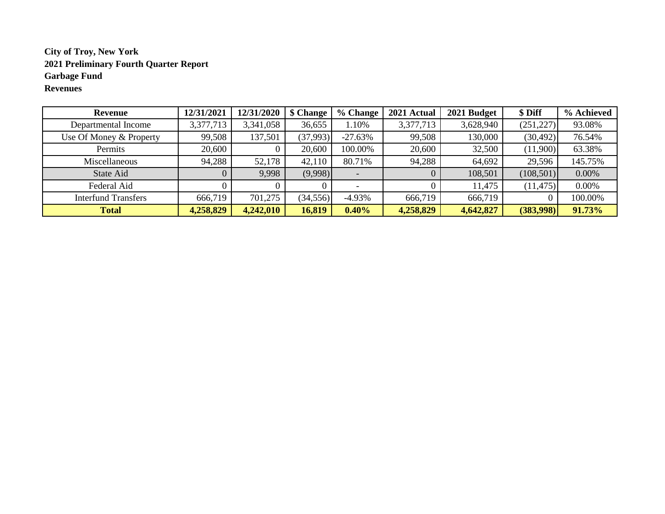## **City of Troy, New York Garbage Fund Revenues 2021 Preliminary Fourth Quarter Report**

| Revenue                    | 12/31/2021 | 12/31/2020 | \$ Change | % Change  | 2021 Actual | 2021 Budget | \$ Diff    | % Achieved |
|----------------------------|------------|------------|-----------|-----------|-------------|-------------|------------|------------|
| Departmental Income        | 3,377,713  | 3,341,058  | 36,655    | 1.10%     | 3,377,713   | 3,628,940   | (251, 227) | 93.08%     |
| Use Of Money & Property    | 99,508     | 137,501    | (37,993)  | $-27.63%$ | 99,508      | 130,000     | (30, 492)  | 76.54%     |
| Permits                    | 20,600     |            | 20,600    | 100.00%   | 20,600      | 32,500      | (11,900)   | 63.38%     |
| Miscellaneous              | 94,288     | 52,178     | 42,110    | 80.71%    | 94,288      | 64,692      | 29,596     | 145.75%    |
| State Aid                  |            | 9,998      | (9,998)   |           |             | 108,501     | (108, 501) | $0.00\%$   |
| Federal Aid                |            |            |           |           |             | 11,475      | (11, 475)  | 0.00%      |
| <b>Interfund Transfers</b> | 666,719    | 701,275    | (34, 556) | $-4.93\%$ | 666,719     | 666,719     |            | 100.00%    |
| <b>Total</b>               | 4,258,829  | 4,242,010  | 16,819    | 0.40%     | 4,258,829   | 4,642,827   | (383,998)  | 91.73%     |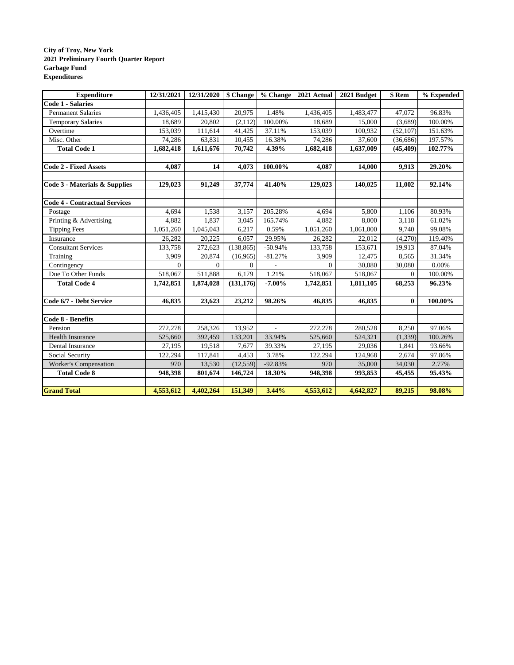# **City of Troy, New York Garbage Fund Expenditures 2021 Preliminary Fourth Quarter Report**

| <b>Expenditure</b>                       | 12/31/2021 | 12/31/2020     | \$ Change      | % Change       | 2021 Actual    | 2021 Budget | \$ Rem         | % Expended |
|------------------------------------------|------------|----------------|----------------|----------------|----------------|-------------|----------------|------------|
| <b>Code 1 - Salaries</b>                 |            |                |                |                |                |             |                |            |
| <b>Permanent Salaries</b>                | 1,436,405  | 1,415,430      | 20,975         | 1.48%          | 1,436,405      | 1,483,477   | 47,072         | 96.83%     |
| <b>Temporary Salaries</b>                | 18,689     | 20,802         | (2,112)        | 100.00%        | 18,689         | 15,000      | (3,689)        | 100.00%    |
| Overtime                                 | 153,039    | 111,614        | 41,425         | 37.11%         | 153,039        | 100,932     | (52, 107)      | 151.63%    |
| Misc. Other                              | 74,286     | 63,831         | 10,455         | 16.38%         | 74,286         | 37,600      | (36,686)       | 197.57%    |
| <b>Total Code 1</b>                      | 1,682,418  | 1,611,676      | 70,742         | 4.39%          | 1,682,418      | 1,637,009   | (45, 409)      | 102.77%    |
|                                          |            |                |                |                |                |             |                |            |
| <b>Code 2 - Fixed Assets</b>             | 4,087      | 14             | 4,073          | 100.00%        | 4,087          | 14,000      | 9,913          | 29.20%     |
|                                          |            |                |                |                |                |             |                |            |
| <b>Code 3 - Materials &amp; Supplies</b> | 129,023    | 91,249         | 37,774         | 41.40%         | 129,023        | 140,025     | 11,002         | 92.14%     |
| <b>Code 4 - Contractual Services</b>     |            |                |                |                |                |             |                |            |
| Postage                                  | 4,694      | 1,538          | 3,157          | 205.28%        | 4,694          | 5,800       | 1,106          | 80.93%     |
| Printing & Advertising                   | 4,882      | 1,837          | 3,045          | 165.74%        | 4,882          | 8,000       | 3,118          | 61.02%     |
| <b>Tipping Fees</b>                      | 1,051,260  | 1,045,043      | 6,217          | 0.59%          | 1,051,260      | 1,061,000   | 9,740          | 99.08%     |
| Insurance                                | 26,282     | 20,225         | 6,057          | 29.95%         | 26,282         | 22,012      | (4,270)        | 119.40%    |
| <b>Consultant Services</b>               | 133,758    | 272,623        | (138, 865)     | $-50.94%$      | 133,758        | 153,671     | 19,913         | 87.04%     |
| Training                                 | 3,909      | 20,874         | (16,965)       | $-81.27%$      | 3,909          | 12,475      | 8,565          | 31.34%     |
| Contingency                              | $\Omega$   | $\overline{0}$ | $\overline{0}$ |                | $\overline{0}$ | 30,080      | 30,080         | $0.00\%$   |
| Due To Other Funds                       | 518,067    | 511,888        | 6,179          | 1.21%          | 518,067        | 518,067     | $\overline{0}$ | 100.00%    |
| <b>Total Code 4</b>                      | 1,742,851  | 1,874,028      | (131, 176)     | $-7.00\%$      | 1,742,851      | 1,811,105   | 68,253         | 96.23%     |
|                                          |            |                |                |                |                |             |                |            |
| Code 6/7 - Debt Service                  | 46,835     | 23,623         | 23,212         | 98.26%         | 46,835         | 46,835      | $\bf{0}$       | 100.00%    |
| <b>Code 8 - Benefits</b>                 |            |                |                |                |                |             |                |            |
| Pension                                  | 272,278    | 258,326        | 13,952         | $\overline{a}$ | 272,278        | 280,528     | 8,250          | 97.06%     |
| <b>Health Insurance</b>                  | 525,660    | 392,459        | 133,201        | 33.94%         | 525,660        | 524,321     | (1, 339)       | 100.26%    |
| Dental Insurance                         | 27,195     | 19,518         | 7,677          | 39.33%         | 27,195         | 29,036      | 1,841          | 93.66%     |
| Social Security                          | 122,294    | 117,841        | 4,453          | 3.78%          | 122,294        | 124,968     | 2,674          | 97.86%     |
| <b>Worker's Compensation</b>             | 970        | 13,530         | (12, 559)      | $-92.83%$      | 970            | 35,000      | 34,030         | 2.77%      |
| <b>Total Code 8</b>                      | 948,398    | 801,674        | 146,724        | 18.30%         | 948,398        | 993,853     | 45,455         | 95.43%     |
|                                          |            |                |                |                |                |             |                |            |
| <b>Grand Total</b>                       | 4,553,612  | 4,402,264      | 151,349        | 3.44%          | 4,553,612      | 4,642,827   | 89,215         | 98.08%     |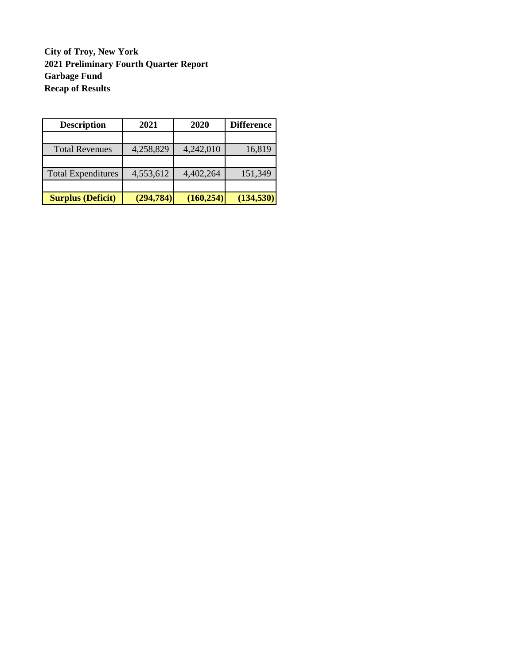**City of Troy, New York Garbage Fund Recap of Results 2021 Preliminary Fourth Quarter Report**

| <b>Description</b>        | 2021       | 2020       | <b>Difference</b> |
|---------------------------|------------|------------|-------------------|
|                           |            |            |                   |
| <b>Total Revenues</b>     | 4,258,829  | 4,242,010  | 16,819            |
|                           |            |            |                   |
| <b>Total Expenditures</b> | 4,553,612  | 4,402,264  | 151,349           |
|                           |            |            |                   |
| <b>Surplus (Deficit)</b>  | (294, 784) | (160, 254) | (134, 530)        |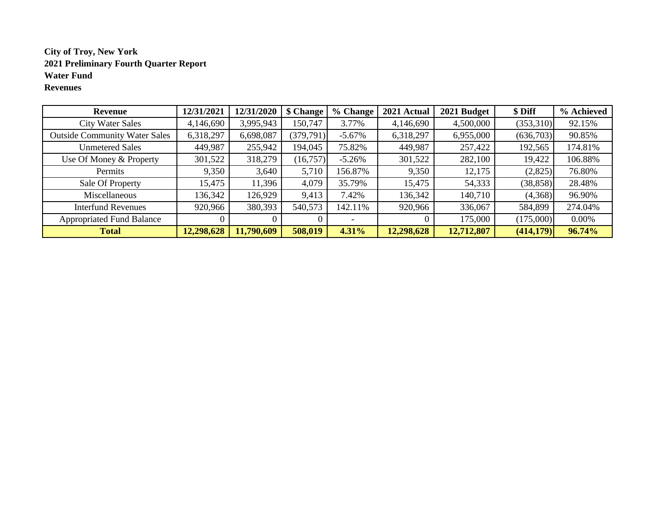### **City of Troy, New York Water Fund Revenues 2021 Preliminary Fourth Quarter Report**

| Revenue                              | 12/31/2021 | 12/31/2020 | \$ Change  | % Change  | 2021 Actual | 2021 Budget | \$ Diff    | % Achieved |
|--------------------------------------|------------|------------|------------|-----------|-------------|-------------|------------|------------|
| <b>City Water Sales</b>              | 4,146,690  | 3,995,943  | 150,747    | 3.77%     | 4,146,690   | 4,500,000   | (353,310)  | 92.15%     |
| <b>Outside Community Water Sales</b> | 6,318,297  | 6,698,087  | (379, 791) | $-5.67\%$ | 6,318,297   | 6,955,000   | (636,703)  | 90.85%     |
| <b>Unmetered Sales</b>               | 449,987    | 255,942    | 194,045    | 75.82%    | 449,987     | 257,422     | 192,565    | 174.81%    |
| Use Of Money & Property              | 301,522    | 318,279    | (16, 757)  | $-5.26%$  | 301,522     | 282,100     | 19,422     | 106.88%    |
| Permits                              | 9,350      | 3,640      | 5,710      | 156.87%   | 9,350       | 12,175      | (2,825)    | 76.80%     |
| Sale Of Property                     | 15,475     | 11,396     | 4,079      | 35.79%    | 15,475      | 54,333      | (38, 858)  | 28.48%     |
| Miscellaneous                        | 136,342    | 126,929    | 9,413      | 7.42%     | 136,342     | 140,710     | (4,368)    | 96.90%     |
| <b>Interfund Revenues</b>            | 920,966    | 380,393    | 540,573    | 142.11%   | 920,966     | 336,067     | 584,899    | 274.04%    |
| <b>Appropriated Fund Balance</b>     |            |            |            |           |             | 175,000     | (175,000)  | $0.00\%$   |
| <b>Total</b>                         | 12,298,628 | 11,790,609 | 508,019    | 4.31%     | 12,298,628  | 12,712,807  | (414, 179) | 96.74%     |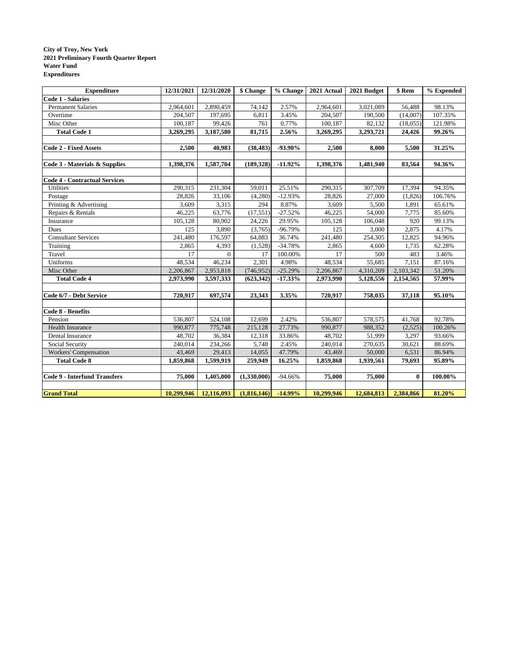# **City of Troy, New York Water Fund Expenditures 2021 Preliminary Fourth Quarter Report**

| <b>Expenditure</b>                   | 12/31/2021 | 12/31/2020 | \$ Change   | % Change   | 2021 Actual | 2021 Budget | \$ Rem    | % Expended |
|--------------------------------------|------------|------------|-------------|------------|-------------|-------------|-----------|------------|
| <b>Code 1 - Salaries</b>             |            |            |             |            |             |             |           |            |
| <b>Permanent Salaries</b>            | 2,964,601  | 2,890,459  | 74,142      | 2.57%      | 2,964,601   | 3,021,089   | 56,488    | 98.13%     |
| Overtime                             | 204,507    | 197,695    | 6,811       | 3.45%      | 204,507     | 190,500     | (14,007)  | 107.35%    |
| Misc Other                           | 100,187    | 99,426     | 761         | 0.77%      | 100,187     | 82,132      | (18,055)  | 121.98%    |
| <b>Total Code 1</b>                  | 3,269,295  | 3,187,580  | 81,715      | 2.56%      | 3,269,295   | 3,293,721   | 24,426    | 99.26%     |
|                                      |            |            |             |            |             |             |           |            |
| Code 2 - Fixed Assets                | 2,500      | 40,983     | (38, 483)   | $-93.90\%$ | 2,500       | 8,000       | 5,500     | 31.25%     |
|                                      |            |            |             |            |             |             |           |            |
| Code 3 - Materials & Supplies        | 1,398,376  | 1,587,704  | (189, 328)  | $-11.92\%$ | 1,398,376   | 1,481,940   | 83,564    | 94.36%     |
|                                      |            |            |             |            |             |             |           |            |
| <b>Code 4 - Contractual Services</b> |            |            |             |            |             |             |           |            |
| <b>Utilities</b>                     | 290,315    | 231,304    | 59,011      | 25.51%     | 290,315     | 307,709     | 17,394    | 94.35%     |
| Postage                              | 28,826     | 33,106     | (4,280)     | $-12.93%$  | 28,826      | 27,000      | (1,826)   | 106.76%    |
| Printing & Advertising               | 3,609      | 3,315      | 294         | 8.87%      | 3,609       | 5,500       | 1,891     | 65.61%     |
| Repairs & Rentals                    | 46,225     | 63,776     | (17, 551)   | $-27.52%$  | 46,225      | 54,000      | 7,775     | 85.60%     |
| Insurance                            | 105,128    | 80,902     | 24,226      | 29.95%     | 105,128     | 106,048     | 920       | 99.13%     |
| Dues                                 | 125        | 3,890      | (3,765)     | $-96.79%$  | 125         | 3,000       | 2,875     | 4.17%      |
| <b>Consultant Services</b>           | 241,480    | 176,597    | 64,883      | 36.74%     | 241,480     | 254,305     | 12,825    | 94.96%     |
| Training                             | 2,865      | 4,393      | (1,528)     | $-34.78%$  | 2,865       | 4,600       | 1,735     | 62.28%     |
| Travel                               | 17         | $\Omega$   | 17          | 100.00%    | 17          | 500         | 483       | 3.46%      |
| Uniforms                             | 48,534     | 46,234     | 2,301       | 4.98%      | 48,534      | 55,685      | 7,151     | 87.16%     |
| Misc Other                           | 2,206,867  | 2,953,818  | (746, 952)  | $-25.29%$  | 2,206,867   | 4,310,209   | 2,103,342 | 51.20%     |
| <b>Total Code 4</b>                  | 2,973,990  | 3,597,333  | (623, 342)  | $-17.33\%$ | 2,973,990   | 5,128,556   | 2,154,565 | 57.99%     |
|                                      |            |            |             |            |             |             |           |            |
| Code 6/7 - Debt Service              | 720,917    | 697,574    | 23,343      | 3.35%      | 720,917     | 758,035     | 37,118    | 95.10%     |
| <b>Code 8 - Benefits</b>             |            |            |             |            |             |             |           |            |
| Pension                              | 536,807    | 524,108    | 12,699      | 2.42%      | 536,807     | 578,575     | 41,768    | 92.78%     |
| Health Insurance                     | 990,877    | 775,748    | 215,128     | 27.73%     | 990,877     | 988,352     | (2,525)   | 100.26%    |
| Dental Insurance                     | 48,702     | 36,384     | 12,318      | 33.86%     | 48,702      | 51,999      | 3,297     | 93.66%     |
| Social Security                      | 240,014    | 234,266    | 5,748       | 2.45%      | 240,014     | 270,635     | 30,621    | 88.69%     |
| Workers' Compensation                | 43,469     | 29,413     | 14,055      | 47.79%     | 43,469      | 50,000      | 6,531     | 86.94%     |
| <b>Total Code 8</b>                  | 1,859,868  | 1,599,919  | 259,949     | 16.25%     | 1,859,868   | 1,939,561   | 79,693    | 95.89%     |
|                                      |            |            |             |            |             |             |           |            |
| Code 9 - Interfund Transfers         | 75,000     | 1,405,000  | (1,330,000) | $-94.66%$  | 75,000      | 75,000      | $\bf{0}$  | 100.00%    |
|                                      |            |            |             |            |             |             |           |            |
| <b>Grand Total</b>                   | 10,299,946 | 12,116,093 | (1,816,146) | $-14.99\%$ | 10,299,946  | 12,684,813  | 2,384,866 | 81.20%     |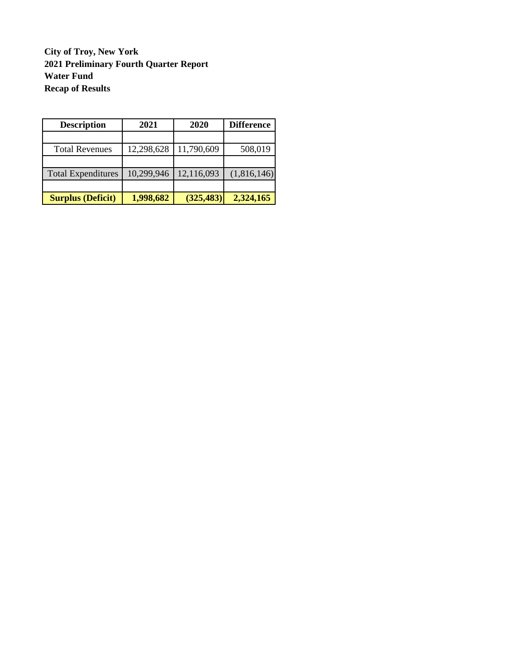**City of Troy, New York Water Fund Recap of Results 2021 Preliminary Fourth Quarter Report**

| <b>Description</b>        | 2021       | 2020       | <b>Difference</b> |
|---------------------------|------------|------------|-------------------|
|                           |            |            |                   |
| <b>Total Revenues</b>     | 12,298,628 | 11,790,609 | 508,019           |
|                           |            |            |                   |
| <b>Total Expenditures</b> | 10,299,946 | 12,116,093 | (1,816,146)       |
|                           |            |            |                   |
| <b>Surplus (Deficit)</b>  | 1,998,682  | (325, 483) | 2,324,165         |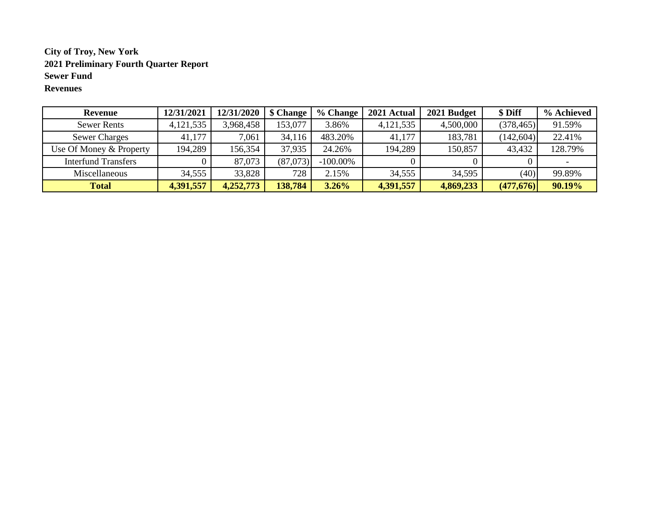### **City of Troy, New York 2021 Preliminary Fourth Quarter Report Sewer Fund Revenues**

| Revenue                    | 12/31/2021 | 12/31/2020 | \$ Change | % Change    | 2021 Actual | 2021 Budget | \$ Diff    | % Achieved |
|----------------------------|------------|------------|-----------|-------------|-------------|-------------|------------|------------|
| <b>Sewer Rents</b>         | 4,121,535  | 3,968,458  | 153,077   | 3.86%       | 4, 121, 535 | 4,500,000   | (378, 465) | 91.59%     |
| <b>Sewer Charges</b>       | 41,177     | 7,061      | 34,116    | 483.20%     | 41,177      | 183,781     | (142, 604) | 22.41%     |
| Use Of Money & Property    | 194,289    | 156,354    | 37,935    | 24.26%      | 194,289     | 150,857     | 43,432     | 128.79%    |
| <b>Interfund Transfers</b> |            | 87,073     | (87,073)  | $-100.00\%$ |             |             |            |            |
| Miscellaneous              | 34,555     | 33,828     | 728       | 2.15%       | 34,555      | 34,595      | (40)       | 99.89%     |
| <b>Total</b>               | 4,391,557  | 4,252,773  | 138,784   | $3.26\%$    | 4,391,557   | 4,869,233   | (477,676)  | 90.19%     |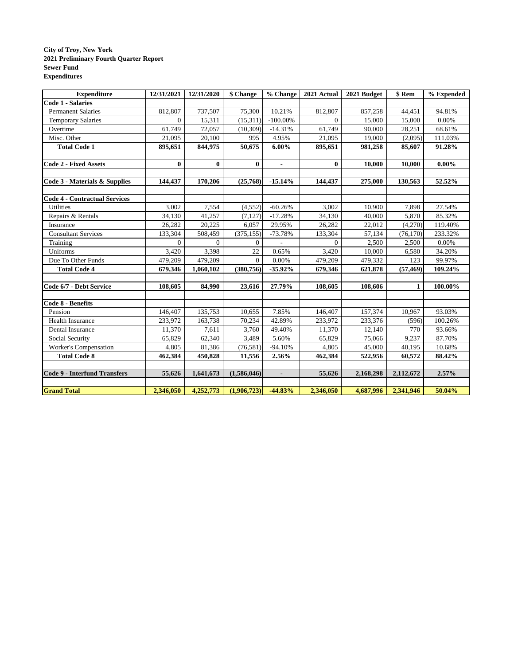# **City of Troy, New York 2021 Preliminary Fourth Quarter Report Sewer Fund Expenditures**

| <b>Expenditure</b>                       | 12/31/2021     | 12/31/2020       | \$ Change      | $\overline{\%}$ Change | 2021 Actual    | 2021 Budget | \$ Rem       | % Expended |
|------------------------------------------|----------------|------------------|----------------|------------------------|----------------|-------------|--------------|------------|
| <b>Code 1 - Salaries</b>                 |                |                  |                |                        |                |             |              |            |
| <b>Permanent Salaries</b>                | 812,807        | 737,507          | 75,300         | 10.21%                 | 812,807        | 857,258     | 44,451       | 94.81%     |
| <b>Temporary Salaries</b>                | $\overline{0}$ | 15,311           | (15,311)       | $-100.00\%$            | $\overline{0}$ | 15,000      | 15,000       | $0.00\%$   |
| Overtime                                 | 61,749         | 72,057           | (10, 309)      | $-14.31%$              | 61,749         | 90,000      | 28,251       | 68.61%     |
| Misc. Other                              | 21,095         | 20,100           | 995            | 4.95%                  | 21,095         | 19,000      | (2,095)      | 111.03%    |
| <b>Total Code 1</b>                      | 895,651        | 844,975          | 50,675         | $6.00\%$               | 895,651        | 981,258     | 85,607       | 91.28%     |
|                                          |                |                  |                |                        |                |             |              |            |
| <b>Code 2 - Fixed Assets</b>             | $\bf{0}$       | $\boldsymbol{0}$ | $\bf{0}$       | $\blacksquare$         | $\bf{0}$       | 10,000      | 10,000       | $0.00\%$   |
| <b>Code 3 - Materials &amp; Supplies</b> | 144,437        | 170,206          | (25,768)       | $-15.14%$              | 144,437        | 275,000     | 130,563      | 52.52%     |
|                                          |                |                  |                |                        |                |             |              |            |
| <b>Code 4 - Contractual Services</b>     |                |                  |                |                        |                |             |              |            |
| <b>Utilities</b>                         | 3,002          | 7,554            | (4, 552)       | $-60.26%$              | 3,002          | 10,900      | 7,898        | 27.54%     |
| Repairs & Rentals                        | 34,130         | 41,257           | (7, 127)       | $-17.28%$              | 34,130         | 40,000      | 5,870        | 85.32%     |
| Insurance                                | 26,282         | 20,225           | 6,057          | 29.95%                 | 26,282         | 22,012      | (4,270)      | 119.40%    |
| <b>Consultant Services</b>               | 133,304        | 508,459          | (375, 155)     | $-73.78%$              | 133,304        | 57,134      | (76, 170)    | 233.32%    |
| Training                                 | $\Omega$       | $\Omega$         | $\overline{0}$ |                        | $\overline{0}$ | 2,500       | 2,500        | $0.00\%$   |
| Uniforms                                 | 3,420          | 3,398            | 22             | 0.65%                  | 3,420          | 10,000      | 6,580        | 34.20%     |
| Due To Other Funds                       | 479,209        | 479,209          | $\overline{0}$ | 0.00%                  | 479,209        | 479,332     | 123          | 99.97%     |
| <b>Total Code 4</b>                      | 679,346        | 1,060,102        | (380, 756)     | $-35.92\%$             | 679,346        | 621,878     | (57, 469)    | 109.24%    |
| Code 6/7 - Debt Service                  | 108,605        | 84,990           | 23,616         | 27.79%                 | 108,605        | 108,606     | $\mathbf{1}$ | 100.00%    |
|                                          |                |                  |                |                        |                |             |              |            |
| <b>Code 8 - Benefits</b>                 |                |                  |                |                        |                |             |              |            |
| Pension                                  | 146,407        | 135,753          | 10,655         | 7.85%                  | 146,407        | 157,374     | 10,967       | 93.03%     |
| <b>Health Insurance</b>                  | 233,972        | 163,738          | 70,234         | 42.89%                 | 233,972        | 233,376     | (596)        | 100.26%    |
| Dental Insurance                         | 11,370         | 7,611            | 3,760          | 49.40%                 | 11,370         | 12,140      | 770          | 93.66%     |
| Social Security                          | 65,829         | 62,340           | 3,489          | 5.60%                  | 65,829         | 75,066      | 9,237        | 87.70%     |
| <b>Worker's Compensation</b>             | 4,805          | 81,386           | (76, 581)      | $-94.10%$              | 4,805          | 45,000      | 40,195       | 10.68%     |
| <b>Total Code 8</b>                      | 462,384        | 450,828          | 11,556         | 2.56%                  | 462,384        | 522,956     | 60,572       | 88.42%     |
|                                          |                |                  |                |                        |                |             |              |            |
| Code 9 - Interfund Transfers             | 55,626         | 1,641,673        | (1,586,046)    | $\blacksquare$         | 55,626         | 2,168,298   | 2,112,672    | 2.57%      |
| <b>Grand Total</b>                       | 2,346,050      | 4,252,773        | (1,906,723)    | $-44.83%$              | 2,346,050      | 4,687,996   | 2,341,946    | 50.04%     |
|                                          |                |                  |                |                        |                |             |              |            |